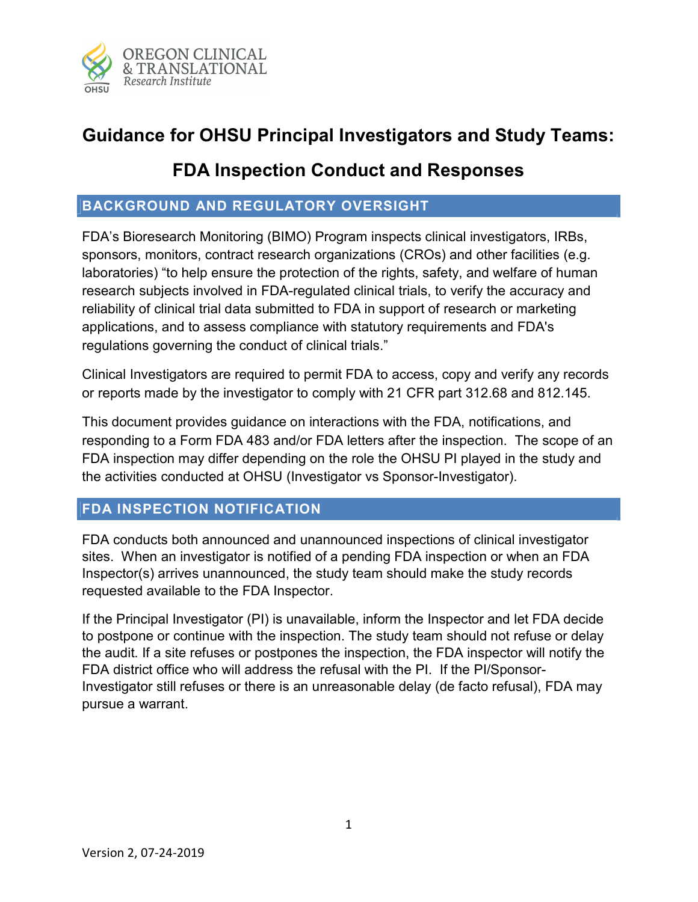

# Guidance for OHSU Principal Investigators and Study Teams:

## FDA Inspection Conduct and Responses

## BACKGROUND AND REGULATORY OVERSIGHT

FDA's Bioresearch Monitoring (BIMO) Program inspects clinical investigators, IRBs, sponsors, monitors, contract research organizations (CROs) and other facilities (e.g. laboratories) "to help ensure the protection of the rights, safety, and welfare of human research subjects involved in FDA-regulated clinical trials, to verify the accuracy and reliability of clinical trial data submitted to FDA in support of research or marketing applications, and to assess compliance with statutory requirements and FDA's regulations governing the conduct of clinical trials."

Clinical Investigators are required to permit FDA to access, copy and verify any records or reports made by the investigator to comply with 21 CFR part 312.68 and 812.145.

This document provides guidance on interactions with the FDA, notifications, and responding to a Form FDA 483 and/or FDA letters after the inspection. The scope of an FDA inspection may differ depending on the role the OHSU PI played in the study and the activities conducted at OHSU (Investigator vs Sponsor-Investigator).

## FDA INSPECTION NOTIFICATION

FDA conducts both announced and unannounced inspections of clinical investigator sites. When an investigator is notified of a pending FDA inspection or when an FDA Inspector(s) arrives unannounced, the study team should make the study records requested available to the FDA Inspector.

If the Principal Investigator (PI) is unavailable, inform the Inspector and let FDA decide to postpone or continue with the inspection. The study team should not refuse or delay the audit. If a site refuses or postpones the inspection, the FDA inspector will notify the FDA district office who will address the refusal with the PI. If the PI/Sponsor-Investigator still refuses or there is an unreasonable delay (de facto refusal), FDA may pursue a warrant.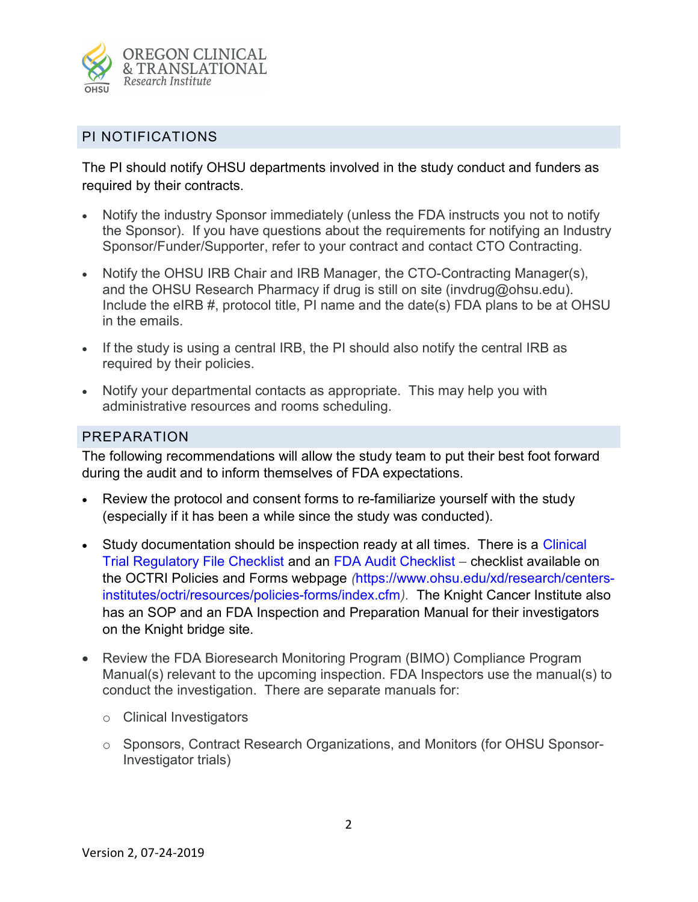

#### PI NOTIFICATIONS

The PI should notify OHSU departments involved in the study conduct and funders as required by their contracts.

- Notify the industry Sponsor immediately (unless the FDA instructs you not to notify the Sponsor). If you have questions about the requirements for notifying an Industry Sponsor/Funder/Supporter, refer to your contract and contact CTO Contracting.
- Notify the OHSU IRB Chair and IRB Manager, the CTO-Contracting Manager(s), and the OHSU Research Pharmacy if drug is still on site (invdrug@ohsu.edu). Include the eIRB #, protocol title, PI name and the date(s) FDA plans to be at OHSU in the emails.
- If the study is using a central IRB, the PI should also notify the central IRB as required by their policies.
- Notify your departmental contacts as appropriate. This may help you with administrative resources and rooms scheduling.

#### PREPARATION

The following recommendations will allow the study team to put their best foot forward during the audit and to inform themselves of FDA expectations.

- Review the protocol and consent forms to re-familiarize yourself with the study (especially if it has been a while since the study was conducted).
- Study documentation should be inspection ready at all times. There is a Clinical Trial Regulatory File Checklist and an FDA Audit Checklist – checklist available on the OCTRI Policies and Forms webpage (https://www.ohsu.edu/xd/research/centersinstitutes/octri/resources/policies-forms/index.cfm). The Knight Cancer Institute also has an SOP and an FDA Inspection and Preparation Manual for their investigators on the Knight bridge site.
- Review the FDA Bioresearch Monitoring Program (BIMO) Compliance Program Manual(s) relevant to the upcoming inspection. FDA Inspectors use the manual(s) to conduct the investigation. There are separate manuals for:
	- o Clinical Investigators
	- o Sponsors, Contract Research Organizations, and Monitors (for OHSU Sponsor-Investigator trials)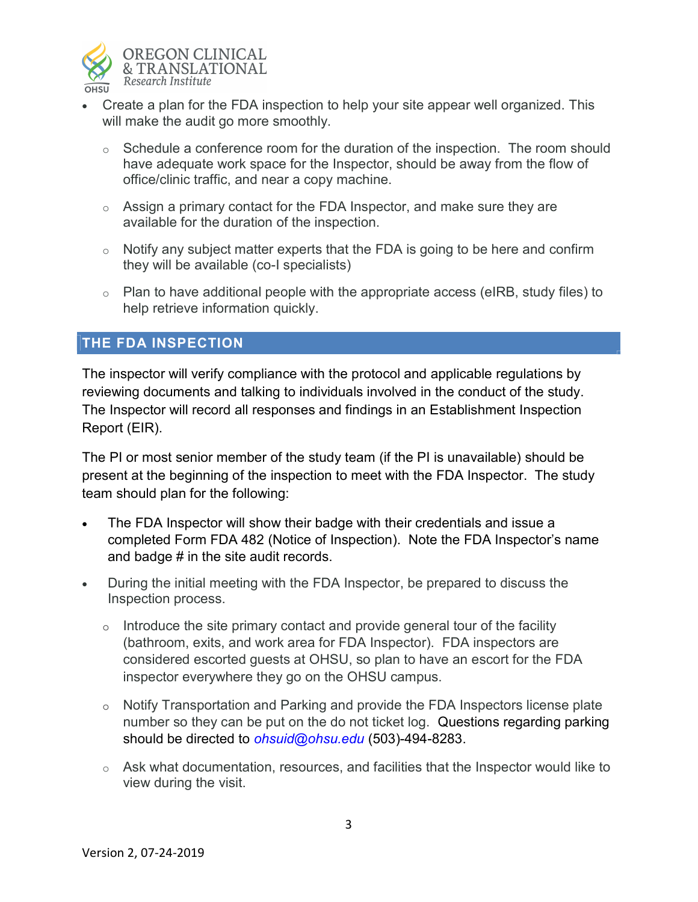

- Create a plan for the FDA inspection to help your site appear well organized. This will make the audit go more smoothly.
	- $\circ$  Schedule a conference room for the duration of the inspection. The room should have adequate work space for the Inspector, should be away from the flow of office/clinic traffic, and near a copy machine.
	- o Assign a primary contact for the FDA Inspector, and make sure they are available for the duration of the inspection.
	- $\circ$  Notify any subject matter experts that the FDA is going to be here and confirm they will be available (co-I specialists)
	- $\circ$  Plan to have additional people with the appropriate access (eIRB, study files) to help retrieve information quickly.

## THE FDA INSPECTION

The inspector will verify compliance with the protocol and applicable regulations by reviewing documents and talking to individuals involved in the conduct of the study. The Inspector will record all responses and findings in an Establishment Inspection Report (EIR).

The PI or most senior member of the study team (if the PI is unavailable) should be present at the beginning of the inspection to meet with the FDA Inspector. The study team should plan for the following:

- The FDA Inspector will show their badge with their credentials and issue a completed Form FDA 482 (Notice of Inspection). Note the FDA Inspector's name and badge # in the site audit records.
- During the initial meeting with the FDA Inspector, be prepared to discuss the Inspection process.
	- $\circ$  Introduce the site primary contact and provide general tour of the facility (bathroom, exits, and work area for FDA Inspector). FDA inspectors are considered escorted guests at OHSU, so plan to have an escort for the FDA inspector everywhere they go on the OHSU campus.
	- $\circ$  Notify Transportation and Parking and provide the FDA Inspectors license plate number so they can be put on the do not ticket log. Questions regarding parking should be directed to *ohsuid@ohsu.edu* (503)-494-8283.
	- $\circ$  Ask what documentation, resources, and facilities that the Inspector would like to view during the visit.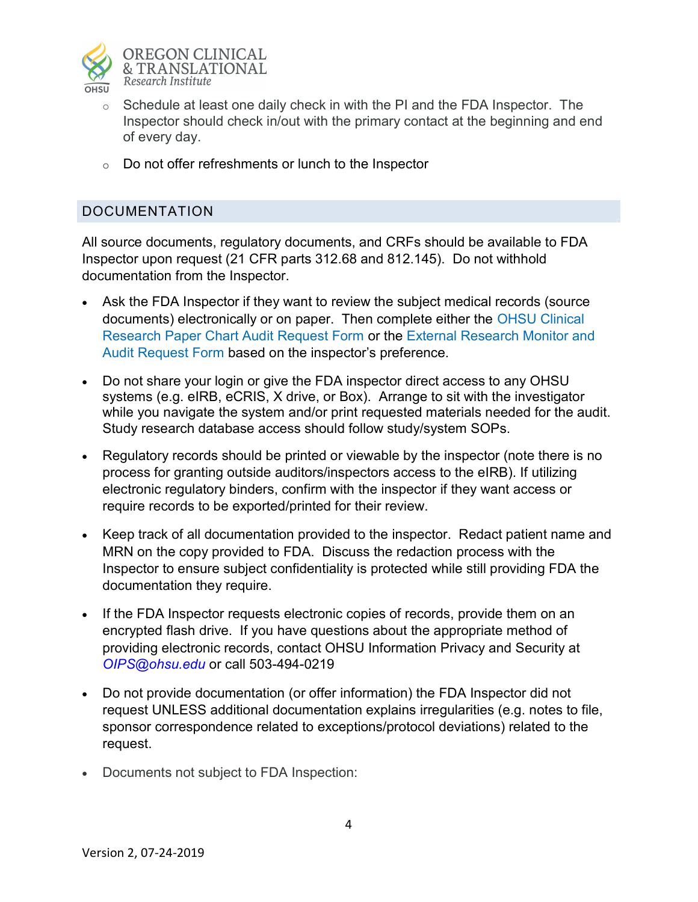

- $\circ$  Schedule at least one daily check in with the PI and the FDA Inspector. The Inspector should check in/out with the primary contact at the beginning and end of every day.
- o Do not offer refreshments or lunch to the Inspector

## DOCUMENTATION

All source documents, regulatory documents, and CRFs should be available to FDA Inspector upon request (21 CFR parts 312.68 and 812.145). Do not withhold documentation from the Inspector.

- Ask the FDA Inspector if they want to review the subject medical records (source documents) electronically or on paper. Then complete either the OHSU Clinical Research Paper Chart Audit Request Form or the External Research Monitor and Audit Request Form based on the inspector's preference.
- Do not share your login or give the FDA inspector direct access to any OHSU systems (e.g. eIRB, eCRIS, X drive, or Box). Arrange to sit with the investigator while you navigate the system and/or print requested materials needed for the audit. Study research database access should follow study/system SOPs.
- Regulatory records should be printed or viewable by the inspector (note there is no process for granting outside auditors/inspectors access to the eIRB). If utilizing electronic regulatory binders, confirm with the inspector if they want access or require records to be exported/printed for their review.
- Keep track of all documentation provided to the inspector. Redact patient name and MRN on the copy provided to FDA. Discuss the redaction process with the Inspector to ensure subject confidentiality is protected while still providing FDA the documentation they require.
- If the FDA Inspector requests electronic copies of records, provide them on an encrypted flash drive. If you have questions about the appropriate method of providing electronic records, contact OHSU Information Privacy and Security at OIPS@ohsu.edu or call 503-494-0219
- Do not provide documentation (or offer information) the FDA Inspector did not request UNLESS additional documentation explains irregularities (e.g. notes to file, sponsor correspondence related to exceptions/protocol deviations) related to the request.
- Documents not subject to FDA Inspection: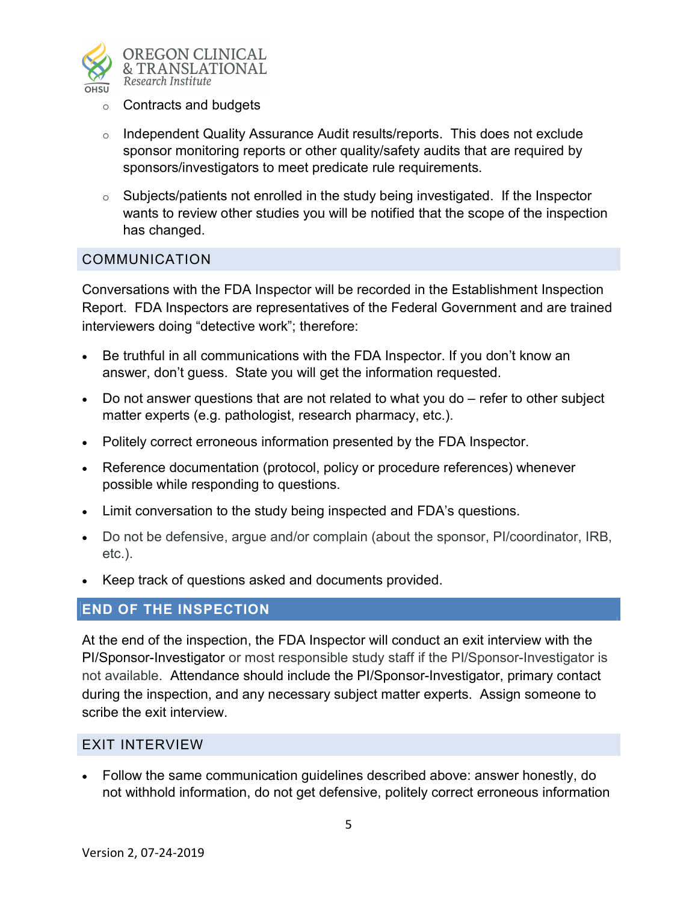

- $\circ$  Contracts and budgets
- o Independent Quality Assurance Audit results/reports. This does not exclude sponsor monitoring reports or other quality/safety audits that are required by sponsors/investigators to meet predicate rule requirements.
- $\circ$  Subjects/patients not enrolled in the study being investigated. If the Inspector wants to review other studies you will be notified that the scope of the inspection has changed.

#### COMMUNICATION

Conversations with the FDA Inspector will be recorded in the Establishment Inspection Report. FDA Inspectors are representatives of the Federal Government and are trained interviewers doing "detective work"; therefore:

- Be truthful in all communications with the FDA Inspector. If you don't know an answer, don't guess. State you will get the information requested.
- Do not answer questions that are not related to what you do refer to other subject matter experts (e.g. pathologist, research pharmacy, etc.).
- Politely correct erroneous information presented by the FDA Inspector.
- Reference documentation (protocol, policy or procedure references) whenever possible while responding to questions.
- Limit conversation to the study being inspected and FDA's questions.
- Do not be defensive, argue and/or complain (about the sponsor, PI/coordinator, IRB, etc.).
- Keep track of questions asked and documents provided.

#### END OF THE INSPECTION

At the end of the inspection, the FDA Inspector will conduct an exit interview with the PI/Sponsor-Investigator or most responsible study staff if the PI/Sponsor-Investigator is not available. Attendance should include the PI/Sponsor-Investigator, primary contact during the inspection, and any necessary subject matter experts. Assign someone to scribe the exit interview.

#### EXIT INTERVIEW

 Follow the same communication guidelines described above: answer honestly, do not withhold information, do not get defensive, politely correct erroneous information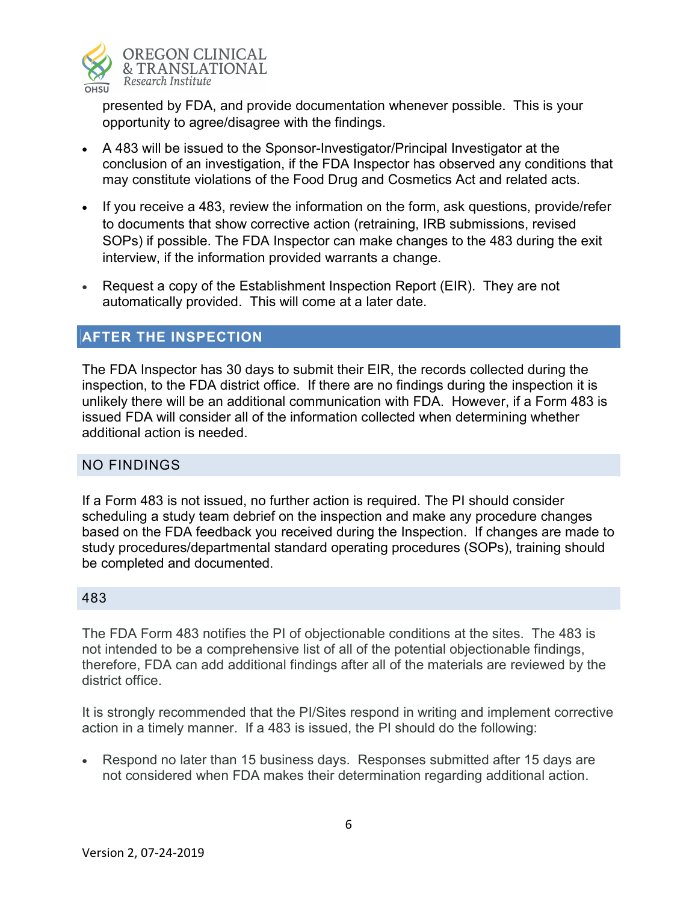

presented by FDA, and provide documentation whenever possible. This is your opportunity to agree/disagree with the findings.

- A 483 will be issued to the Sponsor-Investigator/Principal Investigator at the conclusion of an investigation, if the FDA Inspector has observed any conditions that may constitute violations of the Food Drug and Cosmetics Act and related acts.
- If you receive a 483, review the information on the form, ask questions, provide/refer to documents that show corrective action (retraining, IRB submissions, revised SOPs) if possible. The FDA Inspector can make changes to the 483 during the exit interview, if the information provided warrants a change.
- Request a copy of the Establishment Inspection Report (EIR). They are not automatically provided. This will come at a later date.

## AFTER THE INSPECTION

The FDA Inspector has 30 days to submit their EIR, the records collected during the inspection, to the FDA district office. If there are no findings during the inspection it is unlikely there will be an additional communication with FDA. However, if a Form 483 is issued FDA will consider all of the information collected when determining whether additional action is needed.

#### NO FINDINGS

If a Form 483 is not issued, no further action is required. The PI should consider scheduling a study team debrief on the inspection and make any procedure changes based on the FDA feedback you received during the Inspection. If changes are made to study procedures/departmental standard operating procedures (SOPs), training should be completed and documented.

#### 483

The FDA Form 483 notifies the PI of objectionable conditions at the sites. The 483 is not intended to be a comprehensive list of all of the potential objectionable findings, therefore, FDA can add additional findings after all of the materials are reviewed by the district office.

It is strongly recommended that the PI/Sites respond in writing and implement corrective action in a timely manner. If a 483 is issued, the PI should do the following:

• Respond no later than 15 business days. Responses submitted after 15 days are not considered when FDA makes their determination regarding additional action.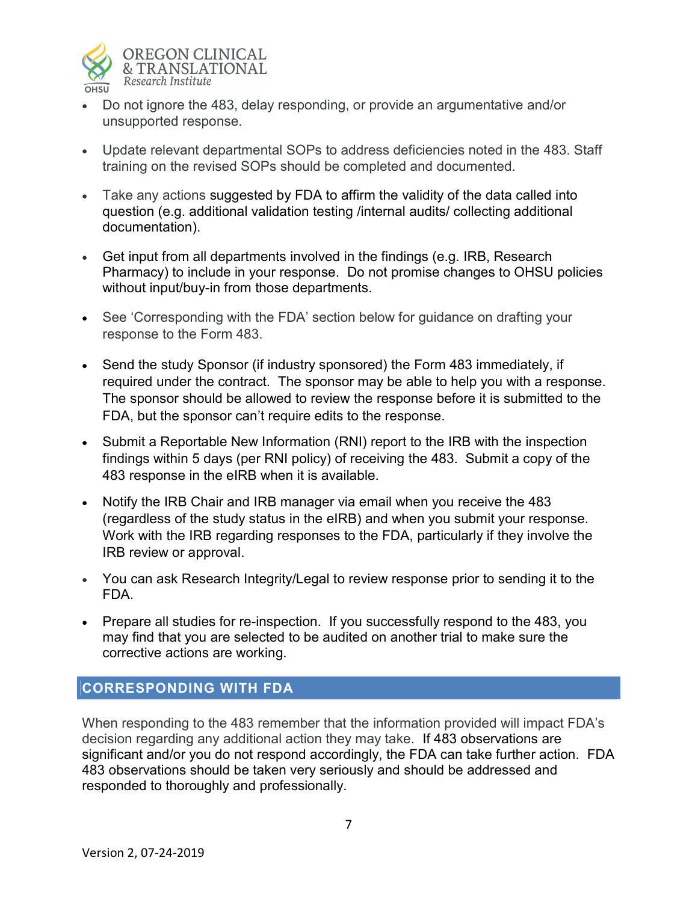

- Do not ignore the 483, delay responding, or provide an argumentative and/or unsupported response.
- Update relevant departmental SOPs to address deficiencies noted in the 483. Staff training on the revised SOPs should be completed and documented.
- Take any actions suggested by FDA to affirm the validity of the data called into question (e.g. additional validation testing /internal audits/ collecting additional documentation).
- Get input from all departments involved in the findings (e.g. IRB, Research Pharmacy) to include in your response. Do not promise changes to OHSU policies without input/buy-in from those departments.
- See 'Corresponding with the FDA' section below for guidance on drafting your response to the Form 483.
- Send the study Sponsor (if industry sponsored) the Form 483 immediately, if required under the contract. The sponsor may be able to help you with a response. The sponsor should be allowed to review the response before it is submitted to the FDA, but the sponsor can't require edits to the response.
- Submit a Reportable New Information (RNI) report to the IRB with the inspection findings within 5 days (per RNI policy) of receiving the 483. Submit a copy of the 483 response in the eIRB when it is available.
- Notify the IRB Chair and IRB manager via email when you receive the 483 (regardless of the study status in the eIRB) and when you submit your response. Work with the IRB regarding responses to the FDA, particularly if they involve the IRB review or approval.
- You can ask Research Integrity/Legal to review response prior to sending it to the FDA.
- Prepare all studies for re-inspection. If you successfully respond to the 483, you may find that you are selected to be audited on another trial to make sure the corrective actions are working.

## CORRESPONDING WITH FDA

When responding to the 483 remember that the information provided will impact FDA's decision regarding any additional action they may take. If 483 observations are significant and/or you do not respond accordingly, the FDA can take further action. FDA 483 observations should be taken very seriously and should be addressed and responded to thoroughly and professionally.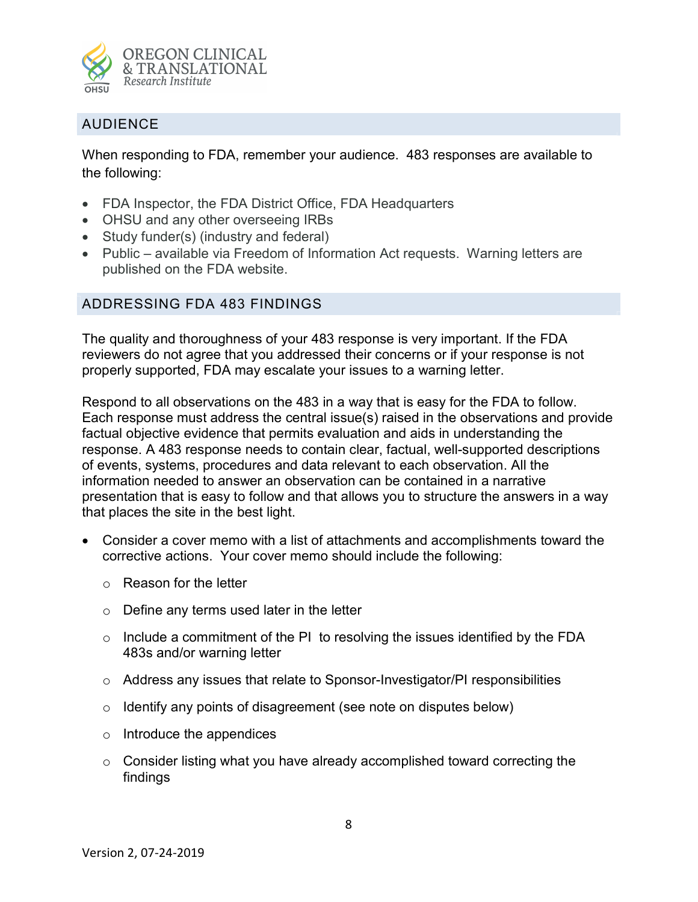

## AUDIENCE

When responding to FDA, remember your audience. 483 responses are available to the following:

- FDA Inspector, the FDA District Office, FDA Headquarters
- OHSU and any other overseeing IRBs
- Study funder(s) (industry and federal)
- Public available via Freedom of Information Act requests. Warning letters are published on the FDA website.

#### ADDRESSING FDA 483 FINDINGS

The quality and thoroughness of your 483 response is very important. If the FDA reviewers do not agree that you addressed their concerns or if your response is not properly supported, FDA may escalate your issues to a warning letter.

Respond to all observations on the 483 in a way that is easy for the FDA to follow. Each response must address the central issue(s) raised in the observations and provide factual objective evidence that permits evaluation and aids in understanding the response. A 483 response needs to contain clear, factual, well-supported descriptions of events, systems, procedures and data relevant to each observation. All the information needed to answer an observation can be contained in a narrative presentation that is easy to follow and that allows you to structure the answers in a way that places the site in the best light.

- Consider a cover memo with a list of attachments and accomplishments toward the corrective actions. Your cover memo should include the following:
	- o Reason for the letter
	- $\circ$  Define any terms used later in the letter
	- $\circ$  Include a commitment of the PI to resolving the issues identified by the FDA 483s and/or warning letter
	- $\circ$  Address any issues that relate to Sponsor-Investigator/PI responsibilities
	- $\circ$  Identify any points of disagreement (see note on disputes below)
	- o Introduce the appendices
	- o Consider listing what you have already accomplished toward correcting the findings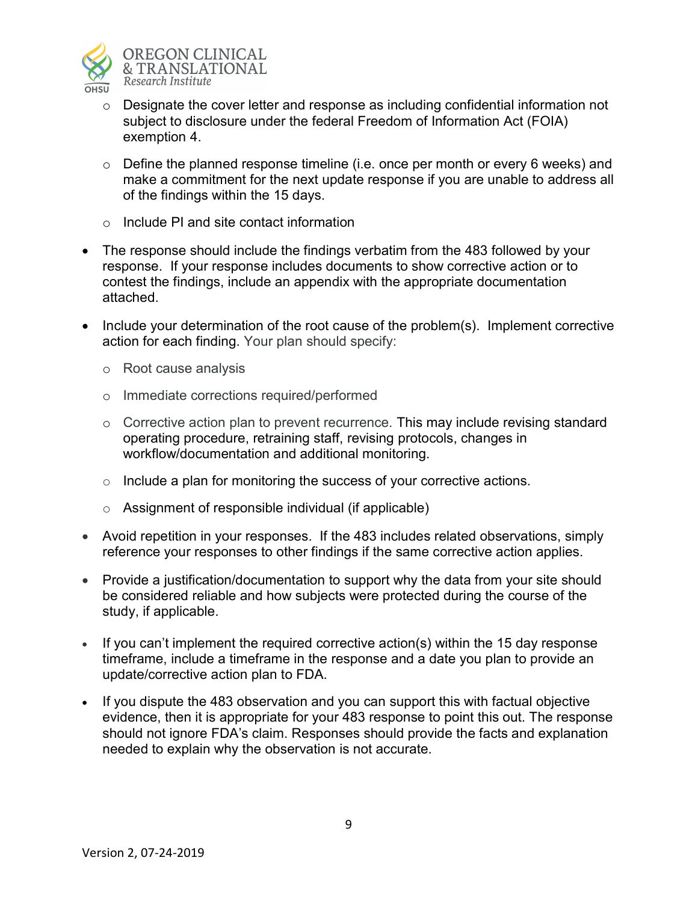

- $\circ$  Designate the cover letter and response as including confidential information not subject to disclosure under the federal Freedom of Information Act (FOIA) exemption 4.
- $\circ$  Define the planned response timeline (i.e. once per month or every 6 weeks) and make a commitment for the next update response if you are unable to address all of the findings within the 15 days.
- $\circ$  Include PI and site contact information
- The response should include the findings verbatim from the 483 followed by your response. If your response includes documents to show corrective action or to contest the findings, include an appendix with the appropriate documentation attached.
- Include your determination of the root cause of the problem(s). Implement corrective action for each finding. Your plan should specify:
	- o Root cause analysis
	- o Immediate corrections required/performed
	- $\circ$  Corrective action plan to prevent recurrence. This may include revising standard operating procedure, retraining staff, revising protocols, changes in workflow/documentation and additional monitoring.
	- $\circ$  Include a plan for monitoring the success of your corrective actions.
	- $\circ$  Assignment of responsible individual (if applicable)
- Avoid repetition in your responses. If the 483 includes related observations, simply reference your responses to other findings if the same corrective action applies.
- Provide a justification/documentation to support why the data from your site should be considered reliable and how subjects were protected during the course of the study, if applicable.
- If you can't implement the required corrective action(s) within the 15 day response timeframe, include a timeframe in the response and a date you plan to provide an update/corrective action plan to FDA.
- If you dispute the 483 observation and you can support this with factual objective evidence, then it is appropriate for your 483 response to point this out. The response should not ignore FDA's claim. Responses should provide the facts and explanation needed to explain why the observation is not accurate.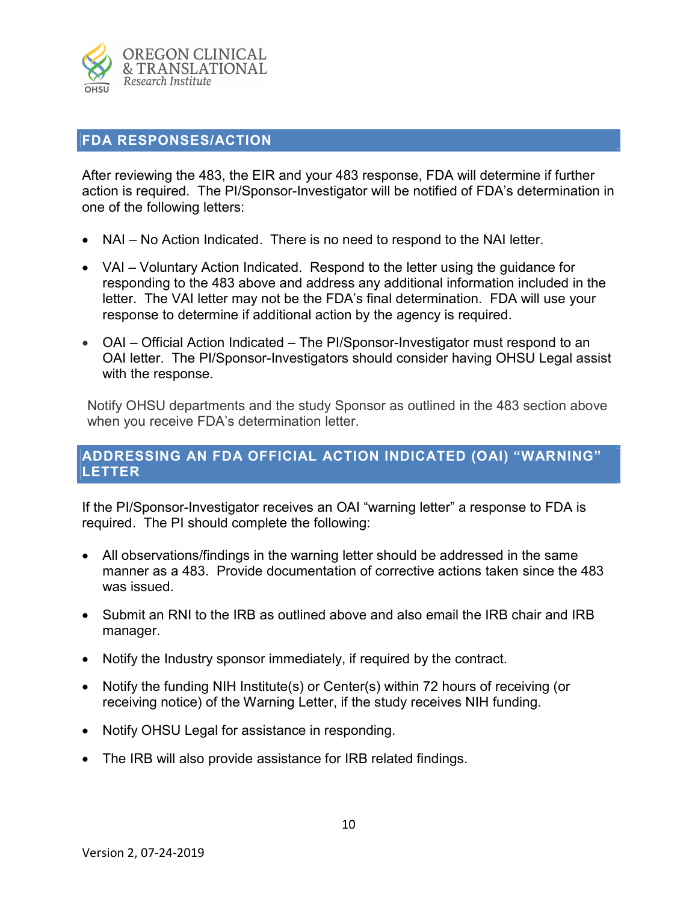

#### FDA RESPONSES/ACTION

After reviewing the 483, the EIR and your 483 response, FDA will determine if further action is required. The PI/Sponsor-Investigator will be notified of FDA's determination in one of the following letters:

- NAI No Action Indicated. There is no need to respond to the NAI letter.
- VAI Voluntary Action Indicated. Respond to the letter using the guidance for responding to the 483 above and address any additional information included in the letter. The VAI letter may not be the FDA's final determination. FDA will use your response to determine if additional action by the agency is required.
- OAI Official Action Indicated The PI/Sponsor-Investigator must respond to an OAI letter. The PI/Sponsor-Investigators should consider having OHSU Legal assist with the response.

Notify OHSU departments and the study Sponsor as outlined in the 483 section above when you receive FDA's determination letter.

## ADDRESSING AN FDA OFFICIAL ACTION INDICATED (OAI) "WARNING" LETTER

If the PI/Sponsor-Investigator receives an OAI "warning letter" a response to FDA is required. The PI should complete the following:

- All observations/findings in the warning letter should be addressed in the same manner as a 483. Provide documentation of corrective actions taken since the 483 was issued.
- Submit an RNI to the IRB as outlined above and also email the IRB chair and IRB manager.
- Notify the Industry sponsor immediately, if required by the contract.
- Notify the funding NIH Institute(s) or Center(s) within 72 hours of receiving (or receiving notice) of the Warning Letter, if the study receives NIH funding.
- Notify OHSU Legal for assistance in responding.
- The IRB will also provide assistance for IRB related findings.